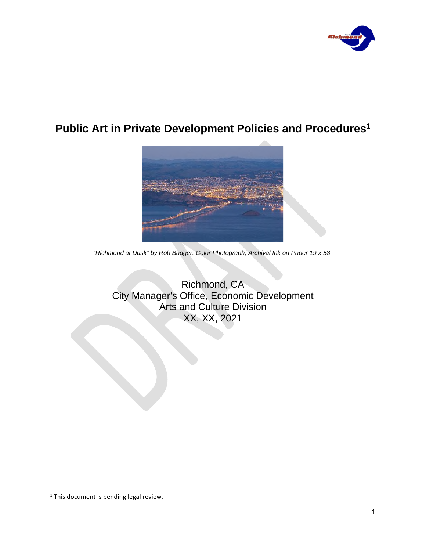

# **Public Art in Private Development Policies and Procedures<sup>1</sup>**



*"Richmond at Dusk" by Rob Badger. Color Photograph, Archival Ink on Paper 19 x 58"*

Richmond, CA City Manager's Office, Economic Development Arts and Culture Division XX, XX, 2021

<sup>&</sup>lt;sup>1</sup> This document is pending legal review.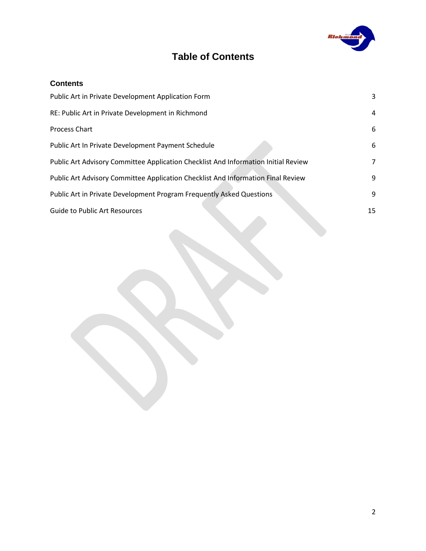

# **Table of Contents**

#### **Contents** Public Art in Private Development Application Form 3

| Public ALC III FIIVALE DEVENDITIENT Application Form                               |    |
|------------------------------------------------------------------------------------|----|
| RE: Public Art in Private Development in Richmond                                  | 4  |
| <b>Process Chart</b>                                                               | 6  |
| Public Art In Private Development Payment Schedule                                 | 6  |
| Public Art Advisory Committee Application Checklist And Information Initial Review | 7  |
| Public Art Advisory Committee Application Checklist And Information Final Review   | 9  |
| Public Art in Private Development Program Frequently Asked Questions               | 9  |
| <b>Guide to Public Art Resources</b>                                               | 15 |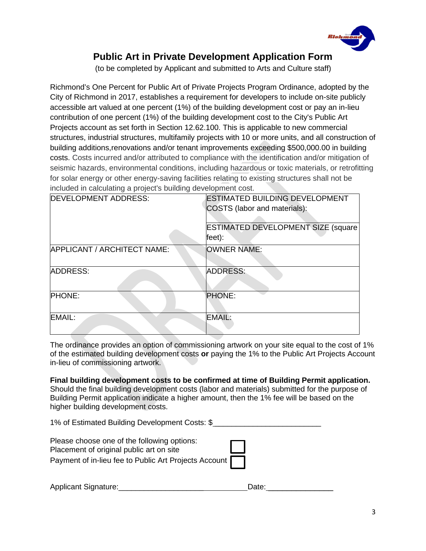

## **Public Art in Private Development Application Form**

(to be completed by Applicant and submitted to Arts and Culture staff)

Richmond's One Percent for Public Art of Private Projects Program Ordinance, adopted by the City of Richmond in 2017, establishes a requirement for developers to include on-site publicly accessible art valued at one percent (1%) of the building development cost or pay an in-lieu contribution of one percent (1%) of the building development cost to the City's Public Art Projects account as set forth in Section 12.62.100. This is applicable to new commercial structures, industrial structures, multifamily projects with 10 or more units, and all construction of building additions,renovations and/or tenant improvements exceeding \$500,000.00 in building costs. Costs incurred and/or attributed to compliance with the identification and/or mitigation of seismic hazards, environmental conditions, including hazardous or toxic materials, or retrofitting for solar energy or other energy-saving facilities relating to existing structures shall not be included in calculating a project's building development cost.

| <b>DEVELOPMENT ADDRESS:</b> | <b>ESTIMATED BUILDING DEVELOPMENT</b><br>COSTS (labor and materials):<br><b>ESTIMATED DEVELOPMENT SIZE (square</b> |
|-----------------------------|--------------------------------------------------------------------------------------------------------------------|
|                             | feet):                                                                                                             |
| APPLICANT / ARCHITECT NAME: | <b>OWNER NAME:</b>                                                                                                 |
| <b>ADDRESS:</b>             | <b>ADDRESS:</b>                                                                                                    |
| <b>PHONE:</b>               | <b>PHONE:</b>                                                                                                      |
| EMAIL:                      | EMAIL:                                                                                                             |

The ordinance provides an option of commissioning artwork on your site equal to the cost of 1% of the estimated building development costs **or** paying the 1% to the Public Art Projects Account in-lieu of commissioning artwork.

#### **Final building development costs to be confirmed at time of Building Permit application.**

Should the final building development costs (labor and materials) submitted for the purpose of Building Permit application indicate a higher amount, then the 1% fee will be based on the higher building development costs.

1% of Estimated Building Development Costs: \$ \_\_\_\_\_\_\_\_\_\_\_\_\_\_\_\_\_\_\_\_\_\_\_\_\_

| Please choose one of the following options: |  |
|---------------------------------------------|--|
| Placement of original public art on site    |  |

Payment of in-lieu fee to Public Art Projects Account

| Applicant Signature: | Date: |
|----------------------|-------|
|                      |       |

| ate: |  |  |
|------|--|--|
|      |  |  |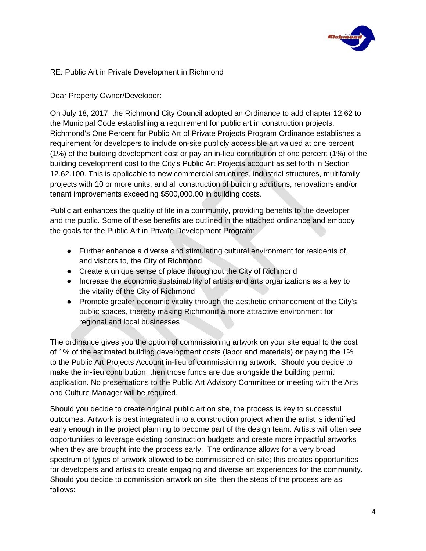

#### RE: Public Art in Private Development in Richmond

#### Dear Property Owner/Developer:

On July 18, 2017, the Richmond City Council adopted an Ordinance to add chapter 12.62 to the Municipal Code establishing a requirement for public art in construction projects. Richmond's One Percent for Public Art of Private Projects Program Ordinance establishes a requirement for developers to include on-site publicly accessible art valued at one percent (1%) of the building development cost or pay an in-lieu contribution of one percent (1%) of the building development cost to the City's Public Art Projects account as set forth in Section 12.62.100. This is applicable to new commercial structures, industrial structures, multifamily projects with 10 or more units, and all construction of building additions, renovations and/or tenant improvements exceeding \$500,000.00 in building costs.

Public art enhances the quality of life in a community, providing benefits to the developer and the public. Some of these benefits are outlined in the attached ordinance and embody the goals for the Public Art in Private Development Program:

- Further enhance a diverse and stimulating cultural environment for residents of, and visitors to, the City of Richmond
- Create a unique sense of place throughout the City of Richmond
- Increase the economic sustainability of artists and arts organizations as a key to the vitality of the City of Richmond
- Promote greater economic vitality through the aesthetic enhancement of the City's public spaces, thereby making Richmond a more attractive environment for regional and local businesses

The ordinance gives you the option of commissioning artwork on your site equal to the cost of 1% of the estimated building development costs (labor and materials) **or** paying the 1% to the Public Art Projects Account in-lieu of commissioning artwork. Should you decide to make the in-lieu contribution, then those funds are due alongside the building permit application. No presentations to the Public Art Advisory Committee or meeting with the Arts and Culture Manager will be required.

Should you decide to create original public art on site, the process is key to successful outcomes. Artwork is best integrated into a construction project when the artist is identified early enough in the project planning to become part of the design team. Artists will often see opportunities to leverage existing construction budgets and create more impactful artworks when they are brought into the process early. The ordinance allows for a very broad spectrum of types of artwork allowed to be commissioned on site; this creates opportunities for developers and artists to create engaging and diverse art experiences for the community. Should you decide to commission artwork on site, then the steps of the process are as follows: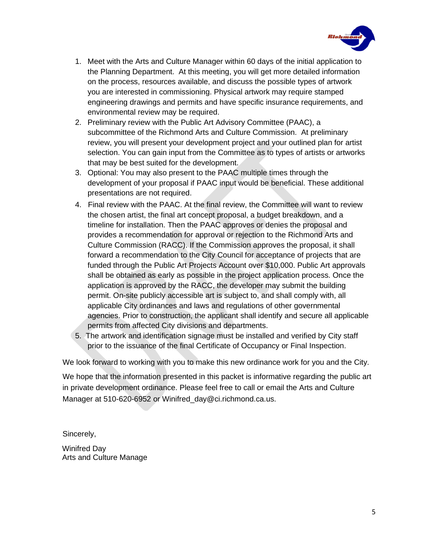

- 1. Meet with the Arts and Culture Manager within 60 days of the initial application to the Planning Department. At this meeting, you will get more detailed information on the process, resources available, and discuss the possible types of artwork you are interested in commissioning. Physical artwork may require stamped engineering drawings and permits and have specific insurance requirements, and environmental review may be required.
- 2. Preliminary review with the Public Art Advisory Committee (PAAC), a subcommittee of the Richmond Arts and Culture Commission. At preliminary review, you will present your development project and your outlined plan for artist selection. You can gain input from the Committee as to types of artists or artworks that may be best suited for the development.
- 3. Optional: You may also present to the PAAC multiple times through the development of your proposal if PAAC input would be beneficial. These additional presentations are not required.
- 4. Final review with the PAAC. At the final review, the Committee will want to review the chosen artist, the final art concept proposal, a budget breakdown, and a timeline for installation. Then the PAAC approves or denies the proposal and provides a recommendation for approval or rejection to the Richmond Arts and Culture Commission (RACC). If the Commission approves the proposal, it shall forward a recommendation to the City Council for acceptance of projects that are funded through the Public Art Projects Account over \$10,000. Public Art approvals shall be obtained as early as possible in the project application process. Once the application is approved by the RACC, the developer may submit the building permit. On-site publicly accessible art is subject to, and shall comply with, all applicable City ordinances and laws and regulations of other governmental agencies. Prior to construction, the applicant shall identify and secure all applicable permits from affected City divisions and departments.
- 5. The artwork and identification signage must be installed and verified by City staff prior to the issuance of the final Certificate of Occupancy or Final Inspection.

We look forward to working with you to make this new ordinance work for you and the City.

We hope that the information presented in this packet is informative regarding the public art in private development ordinance. Please feel free to call or email the Arts and Culture Manager at 510-620-6952 or Winifred day@ci.richmond.ca.us.

Sincerely,

Winifred Day Arts and Culture Manage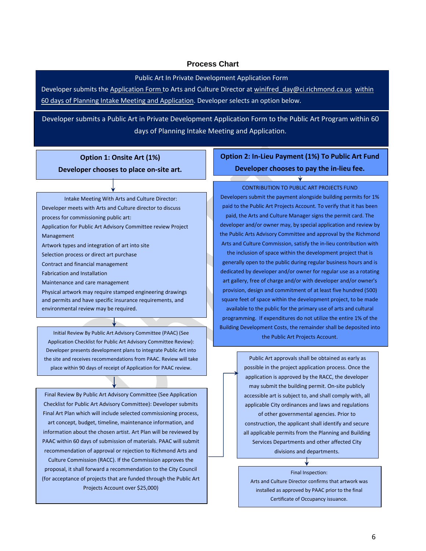#### **Process Chart**

#### Public Art In Private Development Application Form

Developer submits the Application Form to Arts and Culture Director at winifred\_day@ci.richmond.ca.us within 60 days of Planning Intake Meeting and Application. Developer selects an option below.

Developer submits a Public Art in Private Development Application Form to the Public Art Program within 60 days of Planning Intake Meeting and Application.

#### **Option 1: Onsite Art (1%) Developer chooses to place on-site art.**

Intake Meeting With Arts and Culture Director: Developer meets with Arts and Culture director to discuss process for commissioning public art:

Application for Public Art Advisory Committee review Project Management

Artwork types and integration of art into site

Selection process or direct art purchase

Contract and financial management

Fabrication and Installation

Maintenance and care management

Physical artwork may require stamped engineering drawings and permits and have specific insurance requirements, and environmental review may be required.

Initial Review By Public Art Advisory Committee (PAAC) (See Application Checklist for Public Art Advisory Committee Review): Developer presents development plans to integrate Public Art into the site and receives recommendations from PAAC. Review will take place within 90 days of receipt of Application for PAAC review.

Final Review By Public Art Advisory Committee (See Application Checklist for Public Art Advisory Committee): Developer submits Final Art Plan which will include selected commissioning process, art concept, budget, timeline, maintenance information, and information about the chosen artist. Art Plan will be reviewed by PAAC within 60 days of submission of materials. PAAC will submit recommendation of approval or rejection to Richmond Arts and Culture Commission (RACC). If the Commission approves the proposal, it shall forward a recommendation to the City Council (for acceptance of projects that are funded through the Public Art Projects Account over \$25,000)

#### **Option 2: In-Lieu Payment (1%) To Public Art Fund Developer chooses to pay the in-lieu fee.**

₩

CONTRIBUTION TO PUBLIC ART PROJECTS FUND Developers submit the payment alongside building permits for 1% paid to the Public Art Projects Account. To verify that it has been paid, the Arts and Culture Manager signs the permit card. The developer and/or owner may, by special application and review by the Public Arts Advisory Committee and approval by the Richmond Arts and Culture Commission, satisfy the in-lieu contribution with

the inclusion of space within the development project that is generally open to the public during regular business hours and is dedicated by developer and/or owner for regular use as a rotating art gallery, free of charge and/or with developer and/or owner's provision, design and commitment of at least five hundred (500) square feet of space within the development project, to be made available to the public for the primary use of arts and cultural programming. If expenditures do not utilize the entire 1% of the Building Development Costs, the remainder shall be deposited into the Public Art Projects Account.

Public Art approvals shall be obtained as early as possible in the project application process. Once the application is approved by the RACC, the developer may submit the building permit. On-site publicly accessible art is subject to, and shall comply with, all applicable City ordinances and laws and regulations of other governmental agencies. Prior to construction, the applicant shall identify and secure all applicable permits from the Planning and Building Services Departments and other affected City divisions and departments.

Final Inspection: Arts and Culture Director confirms that artwork was installed as approved by PAAC prior to the final Certificate of Occupancy issuance.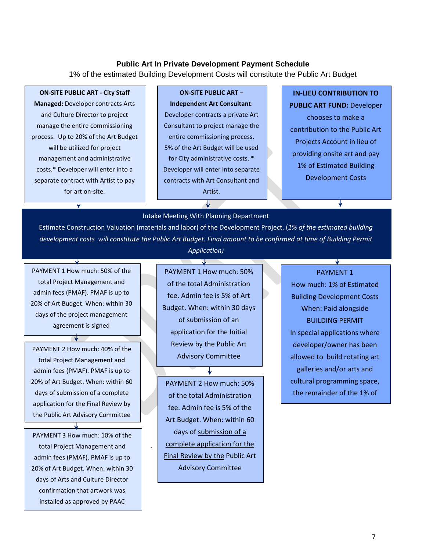#### **Public Art In Private Development Payment Schedule**

1% of the estimated Building Development Costs will constitute the Public Art Budget

#### **ON-SITE PUBLIC ART - City Staff**

**Managed:** Developer contracts Arts and Culture Director to project manage the entire commissioning process. Up to 20% of the Art Budget will be utilized for project management and administrative costs.\* Developer will enter into a separate contract with Artist to pay for art on-site.

 $\overline{\textbf{v}}$ 

#### **ON-SITE PUBLIC ART –**

**Independent Art Consultant**: Developer contracts a private Art Consultant to project manage the entire commissioning process. 5% of the Art Budget will be used for City administrative costs. \* Developer will enter into separate contracts with Art Consultant and Artist.

**IN-LIEU CONTRIBUTION TO PUBLIC ART FUND:** Developer chooses to make a contribution to the Public Art Projects Account in lieu of providing onsite art and pay 1% of Estimated Building Development Costs

#### Intake Meeting With Planning Department

Estimate Construction Valuation (materials and labor) of the Development Project. (*1% of the estimated building development costs will constitute the Public Art Budget. Final amount to be confirmed at time of Building Permit Application)*

PAYMENT 1 How much: 50% of the total Project Management and admin fees (PMAF). PMAF is up to 20% of Art Budget. When: within 30 days of the project management agreement is signed

PAYMENT 2 How much: 40% of the total Project Management and admin fees (PMAF). PMAF is up to 20% of Art Budget. When: within 60 days of submission of a complete application for the Final Review by the Public Art Advisory Committee

PAYMENT 3 How much: 10% of the total Project Management and admin fees (PMAF). PMAF is up to 20% of Art Budget. When: within 30 days of Arts and Culture Director confirmation that artwork was installed as approved by PAAC

PAYMENT 1 How much: 50% of the total Administration fee. Admin fee is 5% of Art Budget. When: within 30 days of submission of an application for the Initial Review by the Public Art Advisory Committee

PAYMENT 2 How much: 50% of the total Administration fee. Admin fee is 5% of the Art Budget. When: within 60 days of submission of a complete application for the Final Review by the Public Art Advisory Committee

.

#### V PAYMENT 1

How much: 1% of Estimated Building Development Costs When: Paid alongside BUILDING PERMIT In special applications where developer/owner has been allowed to build rotating art galleries and/or arts and cultural programming space, the remainder of the 1% of

Building Development Costs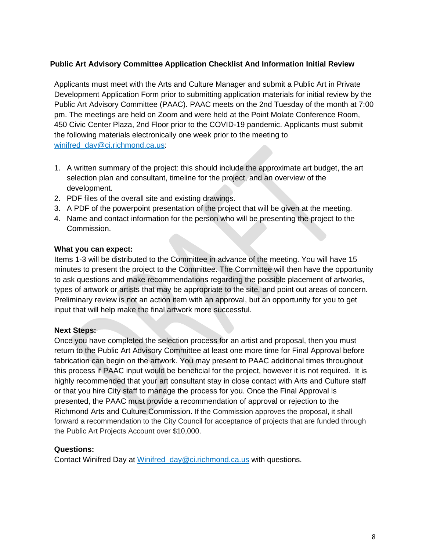#### **Public Art Advisory Committee Application Checklist And Information Initial Review**

Applicants must meet with the Arts and Culture Manager and submit a Public Art in Private Development Application Form prior to submitting application materials for initial review by the Public Art Advisory Committee (PAAC). PAAC meets on the 2nd Tuesday of the month at 7:00 pm. The meetings are held on Zoom and were held at the Point Molate Conference Room, 450 Civic Center Plaza, 2nd Floor prior to the COVID-19 pandemic. Applicants must submit the following materials electronically one week prior to the meeting to winifred\_day@ci.richmond.ca.us:

- 1. A written summary of the project: this should include the approximate art budget, the art selection plan and consultant, timeline for the project, and an overview of the development.
- 2. PDF files of the overall site and existing drawings.
- 3. A PDF of the powerpoint presentation of the project that will be given at the meeting.
- 4. Name and contact information for the person who will be presenting the project to the Commission.

#### **What you can expect:**

Items 1-3 will be distributed to the Committee in advance of the meeting. You will have 15 minutes to present the project to the Committee. The Committee will then have the opportunity to ask questions and make recommendations regarding the possible placement of artworks, types of artwork or artists that may be appropriate to the site, and point out areas of concern. Preliminary review is not an action item with an approval, but an opportunity for you to get input that will help make the final artwork more successful.

#### **Next Steps:**

Once you have completed the selection process for an artist and proposal, then you must return to the Public Art Advisory Committee at least one more time for Final Approval before fabrication can begin on the artwork. You may present to PAAC additional times throughout this process if PAAC input would be beneficial for the project, however it is not required. It is highly recommended that your art consultant stay in close contact with Arts and Culture staff or that you hire City staff to manage the process for you. Once the Final Approval is presented, the PAAC must provide a recommendation of approval or rejection to the Richmond Arts and Culture Commission. If the Commission approves the proposal, it shall forward a recommendation to the City Council for acceptance of projects that are funded through the Public Art Projects Account over \$10,000.

#### **Questions:**

Contact Winifred Day at Winifred day@ci.richmond.ca.us with questions.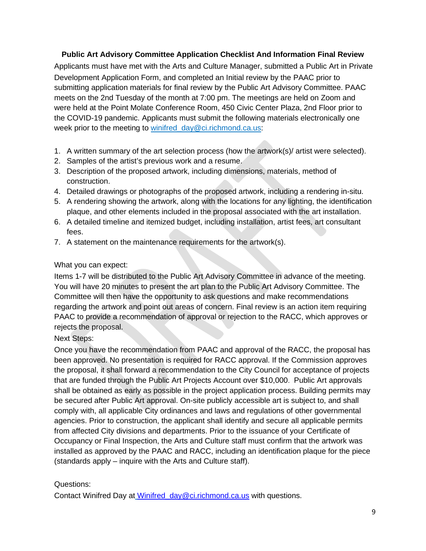#### **Public Art Advisory Committee Application Checklist And Information Final Review**

Applicants must have met with the Arts and Culture Manager, submitted a Public Art in Private Development Application Form, and completed an Initial review by the PAAC prior to submitting application materials for final review by the Public Art Advisory Committee. PAAC meets on the 2nd Tuesday of the month at 7:00 pm. The meetings are held on Zoom and were held at the Point Molate Conference Room, 450 Civic Center Plaza, 2nd Floor prior to the COVID-19 pandemic. Applicants must submit the following materials electronically one week prior to the meeting to winifred\_day@ci.richmond.ca.us:

- 1. A written summary of the art selection process (how the artwork(s)/ artist were selected).
- 2. Samples of the artist's previous work and a resume.
- 3. Description of the proposed artwork, including dimensions, materials, method of construction.
- 4. Detailed drawings or photographs of the proposed artwork, including a rendering in-situ.
- 5. A rendering showing the artwork, along with the locations for any lighting, the identification plaque, and other elements included in the proposal associated with the art installation.
- 6. A detailed timeline and itemized budget, including installation, artist fees, art consultant fees.
- 7. A statement on the maintenance requirements for the artwork(s).

### What you can expect:

Items 1-7 will be distributed to the Public Art Advisory Committee in advance of the meeting. You will have 20 minutes to present the art plan to the Public Art Advisory Committee. The Committee will then have the opportunity to ask questions and make recommendations regarding the artwork and point out areas of concern. Final review is an action item requiring PAAC to provide a recommendation of approval or rejection to the RACC, which approves or rejects the proposal.

Next Steps:

Once you have the recommendation from PAAC and approval of the RACC, the proposal has been approved. No presentation is required for RACC approval. If the Commission approves the proposal, it shall forward a recommendation to the City Council for acceptance of projects that are funded through the Public Art Projects Account over \$10,000. Public Art approvals shall be obtained as early as possible in the project application process. Building permits may be secured after Public Art approval. On-site publicly accessible art is subject to, and shall comply with, all applicable City ordinances and laws and regulations of other governmental agencies. Prior to construction, the applicant shall identify and secure all applicable permits from affected City divisions and departments. Prior to the issuance of your Certificate of Occupancy or Final Inspection, the Arts and Culture staff must confirm that the artwork was installed as approved by the PAAC and RACC, including an identification plaque for the piece (standards apply – inquire with the Arts and Culture staff).

## Questions:

Contact Winifred Day at Winifred\_day@ci.richmond.ca.us with questions.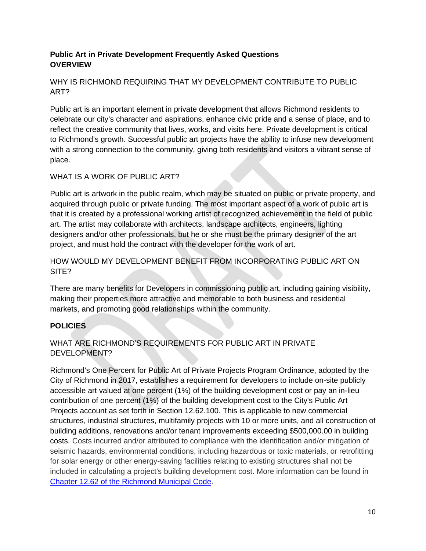#### **Public Art in Private Development Frequently Asked Questions OVERVIEW**

## WHY IS RICHMOND REQUIRING THAT MY DEVELOPMENT CONTRIBUTE TO PUBLIC ART?

Public art is an important element in private development that allows Richmond residents to celebrate our city's character and aspirations, enhance civic pride and a sense of place, and to reflect the creative community that lives, works, and visits here. Private development is critical to Richmond's growth. Successful public art projects have the ability to infuse new development with a strong connection to the community, giving both residents and visitors a vibrant sense of place.

## WHAT IS A WORK OF PUBLIC ART?

Public art is artwork in the public realm, which may be situated on public or private property, and acquired through public or private funding. The most important aspect of a work of public art is that it is created by a professional working artist of recognized achievement in the field of public art. The artist may collaborate with architects, landscape architects, engineers, lighting designers and/or other professionals, but he or she must be the primary designer of the art project, and must hold the contract with the developer for the work of art.

## HOW WOULD MY DEVELOPMENT BENEFIT FROM INCORPORATING PUBLIC ART ON SITE?

There are many benefits for Developers in commissioning public art, including gaining visibility, making their properties more attractive and memorable to both business and residential markets, and promoting good relationships within the community.

## **POLICIES**

### WHAT ARE RICHMOND'S REQUIREMENTS FOR PUBLIC ART IN PRIVATE DEVELOPMENT?

Richmond's One Percent for Public Art of Private Projects Program Ordinance, adopted by the City of Richmond in 2017, establishes a requirement for developers to include on-site publicly accessible art valued at one percent (1%) of the building development cost or pay an in-lieu contribution of one percent (1%) of the building development cost to the City's Public Art Projects account as set forth in Section 12.62.100. This is applicable to new commercial structures, industrial structures, multifamily projects with 10 or more units, and all construction of building additions, renovations and/or tenant improvements exceeding \$500,000.00 in building costs. Costs incurred and/or attributed to compliance with the identification and/or mitigation of seismic hazards, environmental conditions, including hazardous or toxic materials, or retrofitting for solar energy or other energy-saving facilities relating to existing structures shall not be included in calculating a project's building development cost. More information can be found in Chapter 12.62 of the Richmond Municipal Code.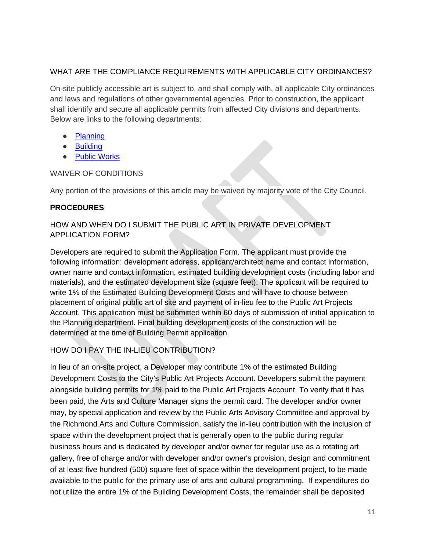#### WHAT ARE THE COMPLIANCE REQUIREMENTS WITH APPLICABLE CITY ORDINANCES?

On-site publicly accessible art is subject to, and shall comply with, all applicable City ordinances and laws and regulations of other governmental agencies. Prior to construction, the applicant shall identify and secure all applicable permits from affected City divisions and departments. Below are links to the following departments:

- Planning
- Building
- Public Works

#### WAIVER OF CONDITIONS

Any portion of the provisions of this article may be waived by majority vote of the City Council.

#### **PROCEDURES**

HOW AND WHEN DO I SUBMIT THE PUBLIC ART IN PRIVATE DEVELOPMENT APPLICATION FORM?

Developers are required to submit the Application Form. The applicant must provide the following information: development address, applicant/architect name and contact information, owner name and contact information, estimated building development costs (including labor and materials), and the estimated development size (square feet). The applicant will be required to write 1% of the Estimated Building Development Costs and will have to choose between placement of original public art of site and payment of in-lieu fee to the Public Art Projects Account. This application must be submitted within 60 days of submission of initial application to the Planning department. Final building development costs of the construction will be determined at the time of Building Permit application.

## HOW DO I PAY THE IN-LIEU CONTRIBUTION?

In lieu of an on-site project, a Developer may contribute 1% of the estimated Building Development Costs to the City's Public Art Projects Account. Developers submit the payment alongside building permits for 1% paid to the Public Art Projects Account. To verify that it has been paid, the Arts and Culture Manager signs the permit card. The developer and/or owner may, by special application and review by the Public Arts Advisory Committee and approval by the Richmond Arts and Culture Commission, satisfy the in-lieu contribution with the inclusion of space within the development project that is generally open to the public during regular business hours and is dedicated by developer and/or owner for regular use as a rotating art gallery, free of charge and/or with developer and/or owner's provision, design and commitment of at least five hundred (500) square feet of space within the development project, to be made available to the public for the primary use of arts and cultural programming. If expenditures do not utilize the entire 1% of the Building Development Costs, the remainder shall be deposited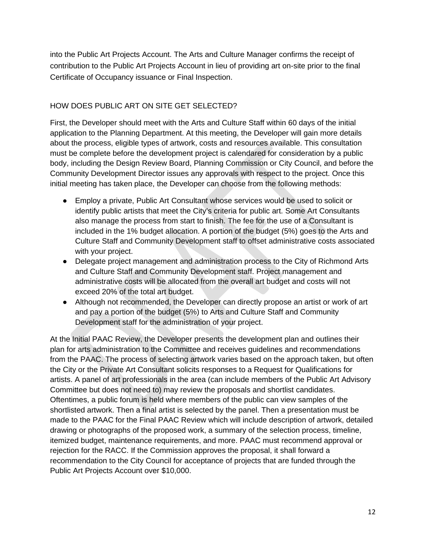into the Public Art Projects Account. The Arts and Culture Manager confirms the receipt of contribution to the Public Art Projects Account in lieu of providing art on-site prior to the final Certificate of Occupancy issuance or Final Inspection.

### HOW DOES PUBLIC ART ON SITE GET SELECTED?

First, the Developer should meet with the Arts and Culture Staff within 60 days of the initial application to the Planning Department. At this meeting, the Developer will gain more details about the process, eligible types of artwork, costs and resources available. This consultation must be complete before the development project is calendared for consideration by a public body, including the Design Review Board, Planning Commission or City Council, and before the Community Development Director issues any approvals with respect to the project. Once this initial meeting has taken place, the Developer can choose from the following methods:

- Employ a private, Public Art Consultant whose services would be used to solicit or identify public artists that meet the City's criteria for public art. Some Art Consultants also manage the process from start to finish. The fee for the use of a Consultant is included in the 1% budget allocation. A portion of the budget (5%) goes to the Arts and Culture Staff and Community Development staff to offset administrative costs associated with your project.
- Delegate project management and administration process to the City of Richmond Arts and Culture Staff and Community Development staff. Project management and administrative costs will be allocated from the overall art budget and costs will not exceed 20% of the total art budget.
- Although not recommended, the Developer can directly propose an artist or work of art and pay a portion of the budget (5%) to Arts and Culture Staff and Community Development staff for the administration of your project.

At the Initial PAAC Review, the Developer presents the development plan and outlines their plan for arts administration to the Committee and receives guidelines and recommendations from the PAAC. The process of selecting artwork varies based on the approach taken, but often the City or the Private Art Consultant solicits responses to a Request for Qualifications for artists. A panel of art professionals in the area (can include members of the Public Art Advisory Committee but does not need to) may review the proposals and shortlist candidates. Oftentimes, a public forum is held where members of the public can view samples of the shortlisted artwork. Then a final artist is selected by the panel. Then a presentation must be made to the PAAC for the Final PAAC Review which will include description of artwork, detailed drawing or photographs of the proposed work, a summary of the selection process, timeline, itemized budget, maintenance requirements, and more. PAAC must recommend approval or rejection for the RACC. If the Commission approves the proposal, it shall forward a recommendation to the City Council for acceptance of projects that are funded through the Public Art Projects Account over \$10,000.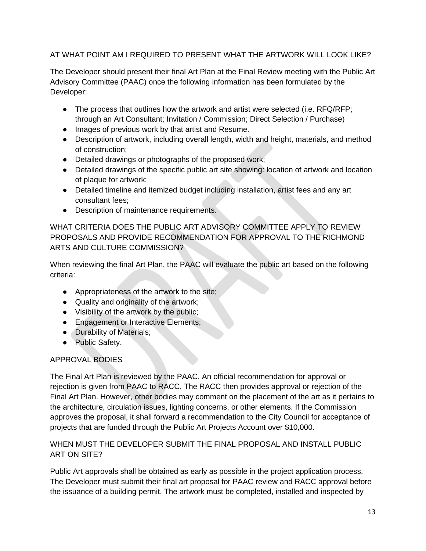## AT WHAT POINT AM I REQUIRED TO PRESENT WHAT THE ARTWORK WILL LOOK LIKE?

The Developer should present their final Art Plan at the Final Review meeting with the Public Art Advisory Committee (PAAC) once the following information has been formulated by the Developer:

- $\bullet$  The process that outlines how the artwork and artist were selected (i.e.  $RFA/RF$ ); through an Art Consultant; Invitation / Commission; Direct Selection / Purchase)
- Images of previous work by that artist and Resume.
- Description of artwork, including overall length, width and height, materials, and method of construction;
- Detailed drawings or photographs of the proposed work;
- Detailed drawings of the specific public art site showing: location of artwork and location of plaque for artwork;
- Detailed timeline and itemized budget including installation, artist fees and any art consultant fees;
- Description of maintenance requirements.

WHAT CRITERIA DOES THE PUBLIC ART ADVISORY COMMITTEE APPLY TO REVIEW PROPOSALS AND PROVIDE RECOMMENDATION FOR APPROVAL TO THE RICHMOND ARTS AND CULTURE COMMISSION?

When reviewing the final Art Plan, the PAAC will evaluate the public art based on the following criteria:

- Appropriateness of the artwork to the site;
- Quality and originality of the artwork;
- Visibility of the artwork by the public;
- Engagement or Interactive Elements;
- Durability of Materials;
- Public Safety.

## APPROVAL BODIES

The Final Art Plan is reviewed by the PAAC. An official recommendation for approval or rejection is given from PAAC to RACC. The RACC then provides approval or rejection of the Final Art Plan. However, other bodies may comment on the placement of the art as it pertains to the architecture, circulation issues, lighting concerns, or other elements. If the Commission approves the proposal, it shall forward a recommendation to the City Council for acceptance of projects that are funded through the Public Art Projects Account over \$10,000.

### WHEN MUST THE DEVELOPER SUBMIT THE FINAL PROPOSAL AND INSTALL PUBLIC ART ON SITE?

Public Art approvals shall be obtained as early as possible in the project application process. The Developer must submit their final art proposal for PAAC review and RACC approval before the issuance of a building permit. The artwork must be completed, installed and inspected by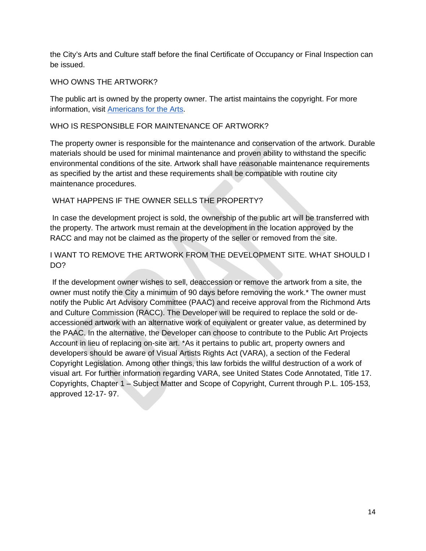the City's Arts and Culture staff before the final Certificate of Occupancy or Final Inspection can be issued.

#### WHO OWNS THE ARTWORK?

The public art is owned by the property owner. The artist maintains the copyright. For more information, visit Americans for the Arts.

#### WHO IS RESPONSIBLE FOR MAINTENANCE OF ARTWORK?

The property owner is responsible for the maintenance and conservation of the artwork. Durable materials should be used for minimal maintenance and proven ability to withstand the specific environmental conditions of the site. Artwork shall have reasonable maintenance requirements as specified by the artist and these requirements shall be compatible with routine city maintenance procedures.

#### WHAT HAPPENS IF THE OWNER SELLS THE PROPERTY?

In case the development project is sold, the ownership of the public art will be transferred with the property. The artwork must remain at the development in the location approved by the RACC and may not be claimed as the property of the seller or removed from the site.

#### I WANT TO REMOVE THE ARTWORK FROM THE DEVELOPMENT SITE. WHAT SHOULD I DO?

If the development owner wishes to sell, deaccession or remove the artwork from a site, the owner must notify the City a minimum of 90 days before removing the work.\* The owner must notify the Public Art Advisory Committee (PAAC) and receive approval from the Richmond Arts and Culture Commission (RACC). The Developer will be required to replace the sold or deaccessioned artwork with an alternative work of equivalent or greater value, as determined by the PAAC. In the alternative, the Developer can choose to contribute to the Public Art Projects Account in lieu of replacing on-site art. \*As it pertains to public art, property owners and developers should be aware of Visual Artists Rights Act (VARA), a section of the Federal Copyright Legislation. Among other things, this law forbids the willful destruction of a work of visual art. For further information regarding VARA, see United States Code Annotated, Title 17. Copyrights, Chapter 1 – Subject Matter and Scope of Copyright, Current through P.L. 105-153, approved 12-17- 97.